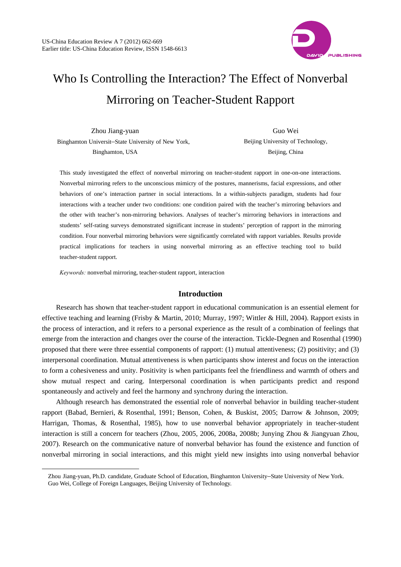

# Who Is Controlling the Interaction? The Effect of Nonverbal Mirroring on Teacher-Student Rapport

| Zhou Jiang-yuan                                    |  |
|----------------------------------------------------|--|
| Binghamton Universit–State University of New York, |  |
| Binghamton, USA                                    |  |

Guo Wei Beijing University of Technology, Beijing, China

This study investigated the effect of nonverbal mirroring on teacher-student rapport in one-on-one interactions. Nonverbal mirroring refers to the unconscious mimicry of the postures, mannerisms, facial expressions, and other behaviors of one's interaction partner in social interactions. In a within-subjects paradigm, students had four interactions with a teacher under two conditions: one condition paired with the teacher's mirroring behaviors and the other with teacher's non-mirroring behaviors. Analyses of teacher's mirroring behaviors in interactions and students' self-rating surveys demonstrated significant increase in students' perception of rapport in the mirroring condition. Four nonverbal mirroring behaviors were significantly correlated with rapport variables. Results provide practical implications for teachers in using nonverbal mirroring as an effective teaching tool to build teacher-student rapport.

*Keywords:* nonverbal mirroring, teacher-student rapport, interaction

 $\overline{a}$ 

## **Introduction**

Research has shown that teacher-student rapport in educational communication is an essential element for effective teaching and learning (Frisby & Martin, 2010; Murray, 1997; Wittler & Hill, 2004). Rapport exists in the process of interaction, and it refers to a personal experience as the result of a combination of feelings that emerge from the interaction and changes over the course of the interaction. Tickle-Degnen and Rosenthal (1990) proposed that there were three essential components of rapport: (1) mutual attentiveness; (2) positivity; and (3) interpersonal coordination. Mutual attentiveness is when participants show interest and focus on the interaction to form a cohesiveness and unity. Positivity is when participants feel the friendliness and warmth of others and show mutual respect and caring. Interpersonal coordination is when participants predict and respond spontaneously and actively and feel the harmony and synchrony during the interaction.

Although research has demonstrated the essential role of nonverbal behavior in building teacher-student rapport (Babad, Bernieri, & Rosenthal, 1991; Benson, Cohen, & Buskist, 2005; Darrow & Johnson, 2009; Harrigan, Thomas, & Rosenthal, 1985), how to use nonverbal behavior appropriately in teacher-student interaction is still a concern for teachers (Zhou, 2005, 2006, 2008a, 2008b; Junying Zhou & Jiangyuan Zhou, 2007). Research on the communicative nature of nonverbal behavior has found the existence and function of nonverbal mirroring in social interactions, and this might yield new insights into using nonverbal behavior

Zhou Jiang-yuan, Ph.D. candidate, Graduate School of Education, Binghamton University–State University of New York. Guo Wei, College of Foreign Languages, Beijing University of Technology.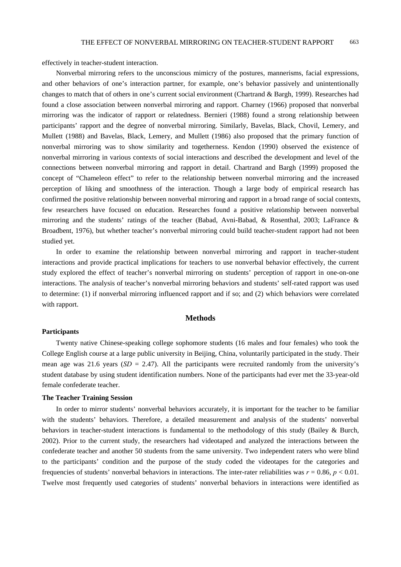effectively in teacher-student interaction.

Nonverbal mirroring refers to the unconscious mimicry of the postures, mannerisms, facial expressions, and other behaviors of one's interaction partner, for example, one's behavior passively and unintentionally changes to match that of others in one's current social environment (Chartrand & Bargh, 1999). Researches had found a close association between nonverbal mirroring and rapport. Charney (1966) proposed that nonverbal mirroring was the indicator of rapport or relatedness. Bernieri (1988) found a strong relationship between participants' rapport and the degree of nonverbal mirroring. Similarly, Bavelas, Black, Chovil, Lemery, and Mullett (1988) and Bavelas, Black, Lemery, and Mullett (1986) also proposed that the primary function of nonverbal mirroring was to show similarity and togetherness. Kendon (1990) observed the existence of nonverbal mirroring in various contexts of social interactions and described the development and level of the connections between nonverbal mirroring and rapport in detail. Chartrand and Bargh (1999) proposed the concept of "Chameleon effect" to refer to the relationship between nonverbal mirroring and the increased perception of liking and smoothness of the interaction. Though a large body of empirical research has confirmed the positive relationship between nonverbal mirroring and rapport in a broad range of social contexts, few researchers have focused on education. Researches found a positive relationship between nonverbal mirroring and the students' ratings of the teacher (Babad, Avni-Babad, & Rosenthal, 2003; LaFrance & Broadbent, 1976), but whether teacher's nonverbal mirroring could build teacher-student rapport had not been studied yet.

In order to examine the relationship between nonverbal mirroring and rapport in teacher-student interactions and provide practical implications for teachers to use nonverbal behavior effectively, the current study explored the effect of teacher's nonverbal mirroring on students' perception of rapport in one-on-one interactions. The analysis of teacher's nonverbal mirroring behaviors and students' self-rated rapport was used to determine: (1) if nonverbal mirroring influenced rapport and if so; and (2) which behaviors were correlated with rapport.

## **Methods**

#### **Participants**

Twenty native Chinese-speaking college sophomore students (16 males and four females) who took the College English course at a large public university in Beijing, China, voluntarily participated in the study. Their mean age was 21.6 years  $(SD = 2.47)$ . All the participants were recruited randomly from the university's student database by using student identification numbers. None of the participants had ever met the 33-year-old female confederate teacher.

#### **The Teacher Training Session**

In order to mirror students' nonverbal behaviors accurately, it is important for the teacher to be familiar with the students' behaviors. Therefore, a detailed measurement and analysis of the students' nonverbal behaviors in teacher-student interactions is fundamental to the methodology of this study (Bailey & Burch, 2002). Prior to the current study, the researchers had videotaped and analyzed the interactions between the confederate teacher and another 50 students from the same university. Two independent raters who were blind to the participants' condition and the purpose of the study coded the videotapes for the categories and frequencies of students' nonverbal behaviors in interactions. The inter-rater reliabilities was *r* = 0.86, *p* < 0.01. Twelve most frequently used categories of students' nonverbal behaviors in interactions were identified as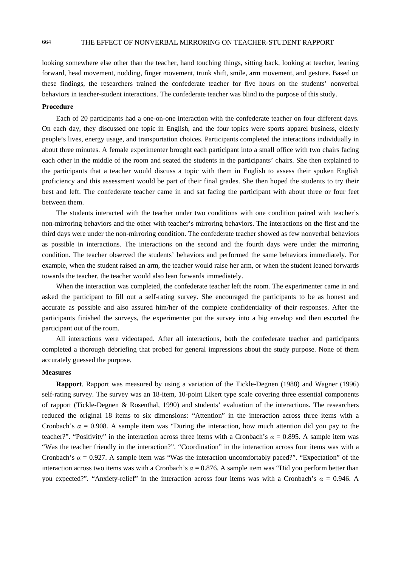## 664 THE EFFECT OF NONVERBAL MIRRORING ON TEACHER-STUDENT RAPPORT

looking somewhere else other than the teacher, hand touching things, sitting back, looking at teacher, leaning forward, head movement, nodding, finger movement, trunk shift, smile, arm movement, and gesture. Based on these findings, the researchers trained the confederate teacher for five hours on the students' nonverbal behaviors in teacher-student interactions. The confederate teacher was blind to the purpose of this study.

# **Procedure**

Each of 20 participants had a one-on-one interaction with the confederate teacher on four different days. On each day, they discussed one topic in English, and the four topics were sports apparel business, elderly people's lives, energy usage, and transportation choices. Participants completed the interactions individually in about three minutes. A female experimenter brought each participant into a small office with two chairs facing each other in the middle of the room and seated the students in the participants' chairs. She then explained to the participants that a teacher would discuss a topic with them in English to assess their spoken English proficiency and this assessment would be part of their final grades. She then hoped the students to try their best and left. The confederate teacher came in and sat facing the participant with about three or four feet between them.

The students interacted with the teacher under two conditions with one condition paired with teacher's non-mirroring behaviors and the other with teacher's mirroring behaviors. The interactions on the first and the third days were under the non-mirroring condition. The confederate teacher showed as few nonverbal behaviors as possible in interactions. The interactions on the second and the fourth days were under the mirroring condition. The teacher observed the students' behaviors and performed the same behaviors immediately. For example, when the student raised an arm, the teacher would raise her arm, or when the student leaned forwards towards the teacher, the teacher would also lean forwards immediately.

When the interaction was completed, the confederate teacher left the room. The experimenter came in and asked the participant to fill out a self-rating survey. She encouraged the participants to be as honest and accurate as possible and also assured him/her of the complete confidentiality of their responses. After the participants finished the surveys, the experimenter put the survey into a big envelop and then escorted the participant out of the room.

All interactions were videotaped. After all interactions, both the confederate teacher and participants completed a thorough debriefing that probed for general impressions about the study purpose. None of them accurately guessed the purpose.

#### **Measures**

**Rapport**. Rapport was measured by using a variation of the Tickle-Degnen (1988) and Wagner (1996) self-rating survey. The survey was an 18-item, 10-point Likert type scale covering three essential components of rapport (Tickle-Degnen & Rosenthal, 1990) and students' evaluation of the interactions. The researchers reduced the original 18 items to six dimensions: "Attention" in the interaction across three items with a Cronbach's  $\alpha$  = 0.908. A sample item was "During the interaction, how much attention did you pay to the teacher?". "Positivity" in the interaction across three items with a Cronbach's *α* = 0.895. A sample item was "Was the teacher friendly in the interaction?". "Coordination" in the interaction across four items was with a Cronbach's  $\alpha = 0.927$ . A sample item was "Was the interaction uncomfortably paced?". "Expectation" of the interaction across two items was with a Cronbach's *α* = 0.876. A sample item was "Did you perform better than you expected?". "Anxiety-relief" in the interaction across four items was with a Cronbach's  $\alpha = 0.946$ . A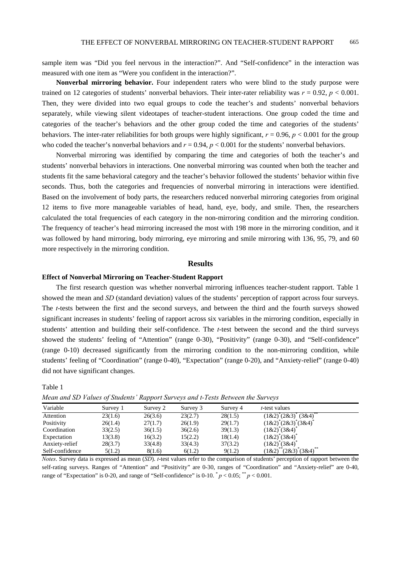sample item was "Did you feel nervous in the interaction?". And "Self-confidence" in the interaction was measured with one item as "Were you confident in the interaction?".

**Nonverbal mirroring behavior.** Four independent raters who were blind to the study purpose were trained on 12 categories of students' nonverbal behaviors. Their inter-rater reliability was  $r = 0.92$ ,  $p < 0.001$ . Then, they were divided into two equal groups to code the teacher's and students' nonverbal behaviors separately, while viewing silent videotapes of teacher-student interactions. One group coded the time and categories of the teacher's behaviors and the other group coded the time and categories of the students' behaviors. The inter-rater reliabilities for both groups were highly significant, *r* = 0.96, *p* < 0.001 for the group who coded the teacher's nonverbal behaviors and  $r = 0.94$ ,  $p < 0.001$  for the students' nonverbal behaviors.

Nonverbal mirroring was identified by comparing the time and categories of both the teacher's and students' nonverbal behaviors in interactions. One nonverbal mirroring was counted when both the teacher and students fit the same behavioral category and the teacher's behavior followed the students' behavior within five seconds. Thus, both the categories and frequencies of nonverbal mirroring in interactions were identified. Based on the involvement of body parts, the researchers reduced nonverbal mirroring categories from original 12 items to five more manageable variables of head, hand, eye, body, and smile. Then, the researchers calculated the total frequencies of each category in the non-mirroring condition and the mirroring condition. The frequency of teacher's head mirroring increased the most with 198 more in the mirroring condition, and it was followed by hand mirroring, body mirroring, eye mirroring and smile mirroring with 136, 95, 79, and 60 more respectively in the mirroring condition.

## **Results**

## **Effect of Nonverbal Mirroring on Teacher-Student Rapport**

The first research question was whether nonverbal mirroring influences teacher-student rapport. Table 1 showed the mean and *SD* (standard deviation) values of the students' perception of rapport across four surveys. The *t*-tests between the first and the second surveys, and between the third and the fourth surveys showed significant increases in students' feeling of rapport across six variables in the mirroring condition, especially in students' attention and building their self-confidence. The *t*-test between the second and the third surveys showed the students' feeling of "Attention" (range 0-30), "Positivity" (range 0-30), and "Self-confidence" (range 0-10) decreased significantly from the mirroring condition to the non-mirroring condition, while students' feeling of "Coordination" (range 0-40), "Expectation" (range 0-20), and "Anxiety-relief" (range 0-40) did not have significant changes.

Table 1

| Variable        | Survey 1 | Survey 2 | Survey 3 | Survey 4 | <i>t</i> -test values         |
|-----------------|----------|----------|----------|----------|-------------------------------|
| Attention       | 23(1.6)  | 26(3.6)  | 23(2.7)  | 28(1.5)  | (3&4)<br>$(1&2)^{r}(2&3)^{r}$ |
| Positivity      | 26(1.4)  | 27(1.7)  | 26(1.9)  | 29(1.7)  | $(1&2)^*(2&3)^*(3&4)$         |
| Coordination    | 33(2.5)  | 36(1.5)  | 36(2.6)  | 39(1.3)  | $(1&2)^*(3&4)$                |
| Expectation     | 13(3.8)  | 16(3.2)  | 15(2.2)  | 18(1.4)  | $(1&2)^{r}(3&4)$              |
| Anxiety-relief  | 28(3.7)  | 33(4.8)  | 33(4.3)  | 37(3.2)  | $(1&2)^*(3&4)$                |
| Self-confidence | 5(1.2)   | 8(1.6)   | 6(1.2)   | 9(1.2)   | $(2\&3)^*(3\&4)^{**}$<br>1&2  |

*Mean and SD Values of Students' Rapport Surveys and t-Tests Between the Surveys* 

*Notes*. Survey data is expressed as mean (*SD*). *t*-test values refer to the comparison of students' perception of rapport between the self-rating surveys. Ranges of "Attention" and "Positivity" are 0-30, ranges of "Coordination" and "Anxiety-relief" are 0-40, range of "Expectation" is 0-20, and range of "Self-confidence" is 0-10.  $p < 0.05$ ;  $p < 0.001$ .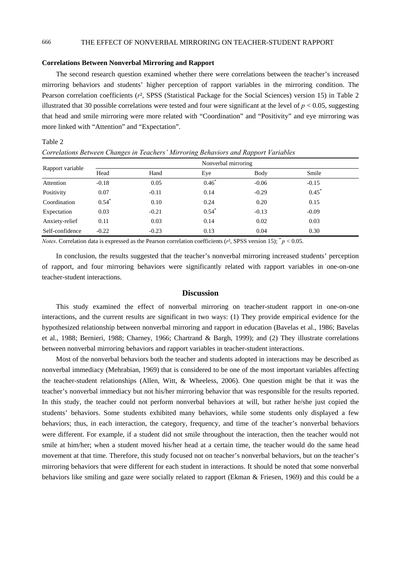#### **Correlations Between Nonverbal Mirroring and Rapport**

Table 2

The second research question examined whether there were correlations between the teacher's increased mirroring behaviors and students' higher perception of rapport variables in the mirroring condition. The Pearson correlation coefficients (*r*², SPSS (Statistical Package for the Social Sciences) version 15) in Table 2 illustrated that 30 possible correlations were tested and four were significant at the level of  $p < 0.05$ , suggesting that head and smile mirroring were more related with "Coordination" and "Positivity" and eye mirroring was more linked with "Attention" and "Expectation".

| Correlations Between Changes in Teachers' Mirroring Behaviors and Rapport Variables |                     |         |          |         |          |  |  |  |
|-------------------------------------------------------------------------------------|---------------------|---------|----------|---------|----------|--|--|--|
| Rapport variable                                                                    | Nonverbal mirroring |         |          |         |          |  |  |  |
|                                                                                     | Head                | Hand    | Eye      | Body    | Smile    |  |  |  |
| Attention                                                                           | $-0.18$             | 0.05    | $0.46^*$ | $-0.06$ | $-0.15$  |  |  |  |
| Positivity                                                                          | 0.07                | $-0.11$ | 0.14     | $-0.29$ | $0.45^*$ |  |  |  |
| Coordination                                                                        | $0.54^{*}$          | 0.10    | 0.24     | 0.20    | 0.15     |  |  |  |
| Expectation                                                                         | 0.03                | $-0.21$ | $0.54^*$ | $-0.13$ | $-0.09$  |  |  |  |
| Anxiety-relief                                                                      | 0.11                | 0.03    | 0.14     | 0.02    | 0.03     |  |  |  |
| Self-confidence                                                                     | $-0.22$             | $-0.23$ | 0.13     | 0.04    | 0.30     |  |  |  |

*Correlations Between Changes in Teachers' Mirroring Behaviors and Rapport Variables* 

*Notes*. Correlation data is expressed as the Pearson correlation coefficients ( $r<sup>2</sup>$ , SPSS version 15);  $p < 0.05$ .

In conclusion, the results suggested that the teacher's nonverbal mirroring increased students' perception of rapport, and four mirroring behaviors were significantly related with rapport variables in one-on-one teacher-student interactions.

#### **Discussion**

This study examined the effect of nonverbal mirroring on teacher-student rapport in one-on-one interactions, and the current results are significant in two ways: (1) They provide empirical evidence for the hypothesized relationship between nonverbal mirroring and rapport in education (Bavelas et al., 1986; Bavelas et al., 1988; Bernieri, 1988; Charney, 1966; Chartrand & Bargh, 1999); and (2) They illustrate correlations between nonverbal mirroring behaviors and rapport variables in teacher-student interactions.

Most of the nonverbal behaviors both the teacher and students adopted in interactions may be described as nonverbal immediacy (Mehrabian, 1969) that is considered to be one of the most important variables affecting the teacher-student relationships (Allen, Witt, & Wheeless, 2006). One question might be that it was the teacher's nonverbal immediacy but not his/her mirroring behavior that was responsible for the results reported. In this study, the teacher could not perform nonverbal behaviors at will, but rather he/she just copied the students' behaviors. Some students exhibited many behaviors, while some students only displayed a few behaviors; thus, in each interaction, the category, frequency, and time of the teacher's nonverbal behaviors were different. For example, if a student did not smile throughout the interaction, then the teacher would not smile at him/her; when a student moved his/her head at a certain time, the teacher would do the same head movement at that time. Therefore, this study focused not on teacher's nonverbal behaviors, but on the teacher's mirroring behaviors that were different for each student in interactions. It should be noted that some nonverbal behaviors like smiling and gaze were socially related to rapport (Ekman & Friesen, 1969) and this could be a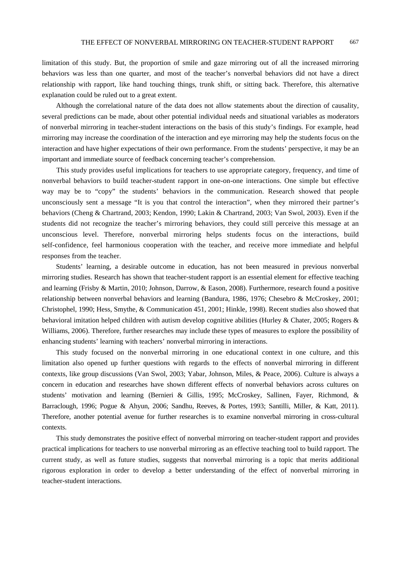limitation of this study. But, the proportion of smile and gaze mirroring out of all the increased mirroring behaviors was less than one quarter, and most of the teacher's nonverbal behaviors did not have a direct relationship with rapport, like hand touching things, trunk shift, or sitting back. Therefore, this alternative explanation could be ruled out to a great extent.

Although the correlational nature of the data does not allow statements about the direction of causality, several predictions can be made, about other potential individual needs and situational variables as moderators of nonverbal mirroring in teacher-student interactions on the basis of this study's findings. For example, head mirroring may increase the coordination of the interaction and eye mirroring may help the students focus on the interaction and have higher expectations of their own performance. From the students' perspective, it may be an important and immediate source of feedback concerning teacher's comprehension.

This study provides useful implications for teachers to use appropriate category, frequency, and time of nonverbal behaviors to build teacher-student rapport in one-on-one interactions. One simple but effective way may be to "copy" the students' behaviors in the communication. Research showed that people unconsciously sent a message "It is you that control the interaction", when they mirrored their partner's behaviors (Cheng & Chartrand, 2003; Kendon, 1990; Lakin & Chartrand, 2003; Van Swol, 2003). Even if the students did not recognize the teacher's mirroring behaviors, they could still perceive this message at an unconscious level. Therefore, nonverbal mirroring helps students focus on the interactions, build self-confidence, feel harmonious cooperation with the teacher, and receive more immediate and helpful responses from the teacher.

Students' learning, a desirable outcome in education, has not been measured in previous nonverbal mirroring studies. Research has shown that teacher-student rapport is an essential element for effective teaching and learning (Frisby & Martin, 2010; Johnson, Darrow, & Eason, 2008). Furthermore, research found a positive relationship between nonverbal behaviors and learning (Bandura, 1986, 1976; Chesebro & McCroskey, 2001; Christophel, 1990; Hess, Smythe, & Communication 451, 2001; Hinkle, 1998). Recent studies also showed that behavioral imitation helped children with autism develop cognitive abilities (Hurley & Chater, 2005; Rogers & Williams, 2006). Therefore, further researches may include these types of measures to explore the possibility of enhancing students' learning with teachers' nonverbal mirroring in interactions.

This study focused on the nonverbal mirroring in one educational context in one culture, and this limitation also opened up further questions with regards to the effects of nonverbal mirroring in different contexts, like group discussions (Van Swol, 2003; Yabar, Johnson, Miles, & Peace, 2006). Culture is always a concern in education and researches have shown different effects of nonverbal behaviors across cultures on students' motivation and learning (Bernieri & Gillis, 1995; McCroskey, Sallinen, Fayer, Richmond, & Barraclough, 1996; Pogue & Ahyun, 2006; Sandhu, Reeves, & Portes, 1993; Santilli, Miller, & Katt, 2011). Therefore, another potential avenue for further researches is to examine nonverbal mirroring in cross-cultural contexts.

This study demonstrates the positive effect of nonverbal mirroring on teacher-student rapport and provides practical implications for teachers to use nonverbal mirroring as an effective teaching tool to build rapport. The current study, as well as future studies, suggests that nonverbal mirroring is a topic that merits additional rigorous exploration in order to develop a better understanding of the effect of nonverbal mirroring in teacher-student interactions.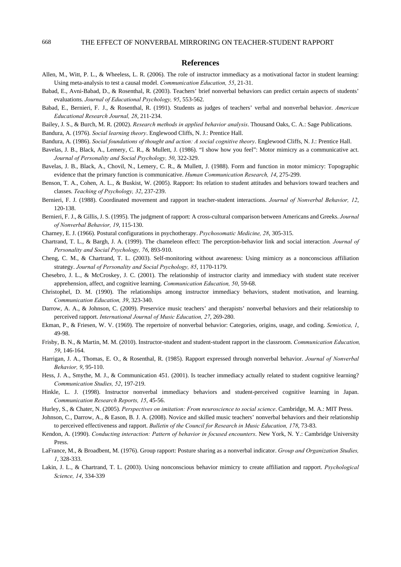## **References**

- Allen, M., Witt, P. L., & Wheeless, L. R. (2006). The role of instructor immediacy as a motivational factor in student learning: Using meta-analysis to test a causal model. *Communication Education, 55*, 21-31.
- Babad, E., Avni-Babad, D., & Rosenthal, R. (2003). Teachers' brief nonverbal behaviors can predict certain aspects of students' evaluations. *Journal of Educational Psychology, 95*, 553-562.
- Babad, E., Bernieri, F. J., & Rosenthal, R. (1991). Students as judges of teachers' verbal and nonverbal behavior. *American Educational Research Journal, 28*, 211-234.
- Bailey, J. S., & Burch, M. R. (2002). *Research methods in applied behavior analysis*. Thousand Oaks, C. A.: Sage Publications.

Bandura, A. (1976). *Social learning theory*. Englewood Cliffs, N. J.: Prentice Hall.

- Bandura, A. (1986). *Social foundations of thought and action: A social cognitive theory*. Englewood Cliffs, N. J.: Prentice Hall.
- Bavelas, J. B., Black, A., Lemery, C. R., & Mullett, J. (1986). "I show how you feel": Motor mimicry as a communicative act. *Journal of Personality and Social Psychology, 50*, 322-329.
- Bavelas, J. B., Black, A., Chovil, N., Lemery, C. R., & Mullett, J. (1988). Form and function in motor mimicry: Topographic evidence that the primary function is communicative. *Human Communication Research, 14*, 275-299.
- Benson, T. A., Cohen, A. L., & Buskist, W. (2005). Rapport: Its relation to student attitudes and behaviors toward teachers and classes. *Teaching of Psychology, 32*, 237-239.
- Bernieri, F. J. (1988). Coordinated movement and rapport in teacher-student interactions. *Journal of Nonverbal Behavior, 12*, 120-138.
- Bernieri, F. J., & Gillis, J. S. (1995). The judgment of rapport: A cross-cultural comparison between Americans and Greeks. *Journal of Nonverbal Behavior, 19*, 115-130.
- Charney, E. J. (1966). Postural configurations in psychotherapy. *Psychosomatic Medicine, 28*, 305-315.
- Chartrand, T. L., & Bargh, J. A. (1999). The chameleon effect: The perception-behavior link and social interaction*. Journal of Personality and Social Psychology, 76*, 893-910.
- Cheng, C. M., & Chartrand, T. L. (2003). Self-monitoring without awareness: Using mimicry as a nonconscious affiliation strategy. *Journal of Personality and Social Psychology, 85*, 1170-1179.
- Chesebro, J. L., & McCroskey, J. C. (2001). The relationship of instructor clarity and immediacy with student state receiver apprehension, affect, and cognitive learning. *Communication Education, 50*, 59-68.
- Christophel, D. M. (1990). The relationships among instructor immediacy behaviors, student motivation, and learning. *Communication Education, 39*, 323-340.
- Darrow, A. A., & Johnson, C. (2009). Preservice music teachers' and therapists' nonverbal behaviors and their relationship to perceived rapport. *International Journal of Music Education, 27*, 269-280.
- Ekman, P., & Friesen, W. V. (1969). The repertoire of nonverbal behavior: Categories, origins, usage, and coding. *Semiotica, 1*, 49-98.
- Frisby, B. N., & Martin, M. M. (2010). Instructor-student and student-student rapport in the classroom. *Communication Education, 59*, 146-164.
- Harrigan, J. A., Thomas, E. O., & Rosenthal, R. (1985). Rapport expressed through nonverbal behavior. *Journal of Nonverbal Behavior, 9*, 95-110.
- Hess, J. A., Smythe, M. J., & Communication 451. (2001). Is teacher immediacy actually related to student cognitive learning? *Communication Studies, 52*, 197-219.
- Hinkle, L. J. (1998). Instructor nonverbal immediacy behaviors and student-perceived cognitive learning in Japan. *Communication Research Reports, 15*, 45-56.
- Hurley, S., & Chater, N. (2005). *Perspectives on imitation: From neuroscience to social science*. Cambridge, M. A.: MIT Press.
- Johnson, C., Darrow, A., & Eason, B. J. A. (2008). Novice and skilled music teachers' nonverbal behaviors and their relationship to perceived effectiveness and rapport. *Bulletin of the Council for Research in Music Education, 178*, 73-83.
- Kendon, A. (1990). *Conducting interaction: Pattern of behavior in focused encounters*. New York, N. Y.: Cambridge University Press.
- LaFrance, M., & Broadbent, M. (1976). Group rapport: Posture sharing as a nonverbal indicator. *Group and Organization Studies, 1*, 328-333.
- Lakin, J. L., & Chartrand, T. L. (2003). Using nonconscious behavior mimicry to create affiliation and rapport. *Psychological Science, 14*, 334-339